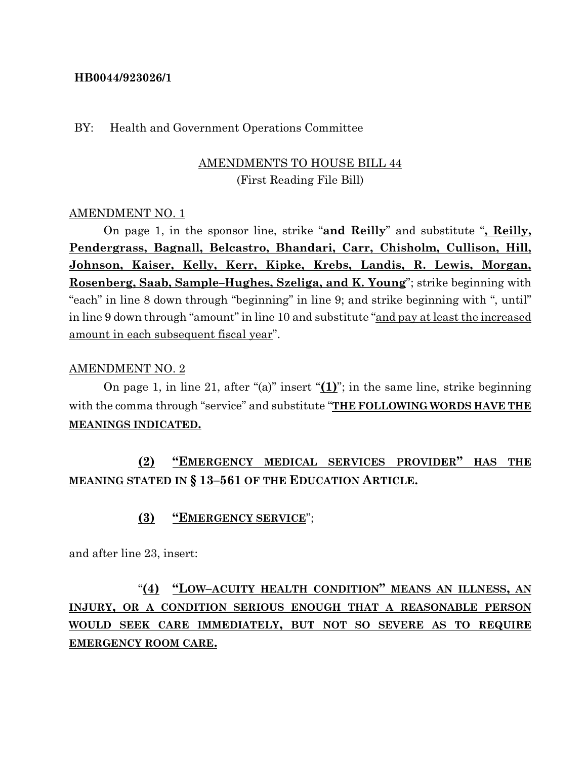#### **HB0044/923026/1**

#### BY: Health and Government Operations Committee

## AMENDMENTS TO HOUSE BILL 44 (First Reading File Bill)

#### AMENDMENT NO. 1

On page 1, in the sponsor line, strike "**and Reilly**" and substitute "**, Reilly, Pendergrass, Bagnall, Belcastro, Bhandari, Carr, Chisholm, Cullison, Hill, Johnson, Kaiser, Kelly, Kerr, Kipke, Krebs, Landis, R. Lewis, Morgan, Rosenberg, Saab, Sample–Hughes, Szeliga, and K. Young**"; strike beginning with "each" in line 8 down through "beginning" in line 9; and strike beginning with ", until" in line 9 down through "amount" in line 10 and substitute "and pay at least the increased amount in each subsequent fiscal year".

#### AMENDMENT NO. 2

On page 1, in line 21, after "(a)" insert "**(1)**"; in the same line, strike beginning with the comma through "service" and substitute "**THE FOLLOWING WORDS HAVE THE MEANINGS INDICATED.**

# **(2) "EMERGENCY MEDICAL SERVICES PROVIDER" HAS THE MEANING STATED IN § 13–561 OF THE EDUCATION ARTICLE.**

### **(3) "EMERGENCY SERVICE**";

and after line 23, insert:

# "**(4) "LOW–ACUITY HEALTH CONDITION" MEANS AN ILLNESS, AN INJURY, OR A CONDITION SERIOUS ENOUGH THAT A REASONABLE PERSON WOULD SEEK CARE IMMEDIATELY, BUT NOT SO SEVERE AS TO REQUIRE EMERGENCY ROOM CARE.**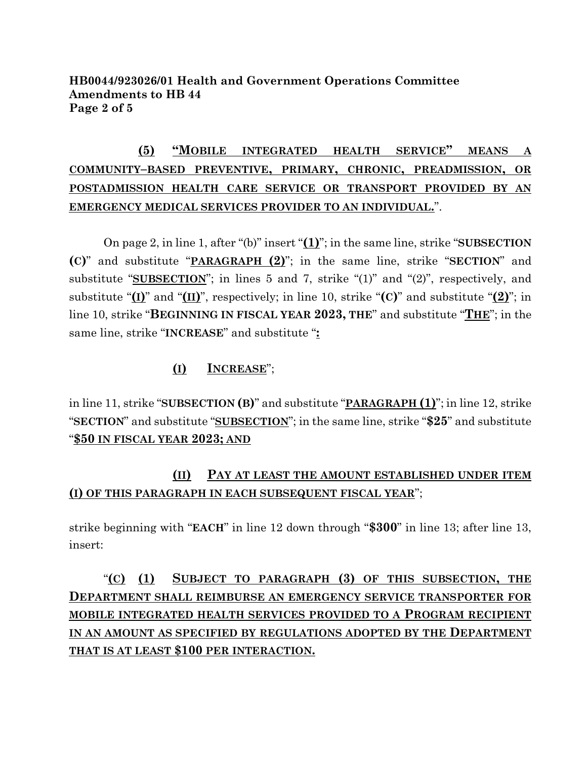### **HB0044/923026/01 Health and Government Operations Committee Amendments to HB 44 Page 2 of 5**

# **(5) "MOBILE INTEGRATED HEALTH SERVICE" MEANS A COMMUNITY–BASED PREVENTIVE, PRIMARY, CHRONIC, PREADMISSION, OR POSTADMISSION HEALTH CARE SERVICE OR TRANSPORT PROVIDED BY AN EMERGENCY MEDICAL SERVICES PROVIDER TO AN INDIVIDUAL.**".

On page 2, in line 1, after "(b)" insert "**(1)**"; in the same line, strike "**SUBSECTION (C)**" and substitute "**PARAGRAPH (2)**"; in the same line, strike "**SECTION**" and substitute "**SUBSECTION**"; in lines 5 and 7, strike "(1)" and "(2)", respectively, and substitute " $(I)$ " and " $(II)$ ", respectively; in line 10, strike " $(C)$ " and substitute " $(2)$ "; in line 10, strike "**BEGINNING IN FISCAL YEAR 2023, THE**" and substitute "**THE**"; in the same line, strike "**INCREASE**" and substitute "**:**

## **(I) INCREASE**";

in line 11, strike "**SUBSECTION (B)**" and substitute "**PARAGRAPH (1)**"; in line 12, strike "**SECTION**" and substitute "**SUBSECTION**"; in the same line, strike "**\$25**" and substitute "**\$50 IN FISCAL YEAR 2023; AND**

## **(II) PAY AT LEAST THE AMOUNT ESTABLISHED UNDER ITEM (I) OF THIS PARAGRAPH IN EACH SUBSEQUENT FISCAL YEAR**";

strike beginning with "**EACH**" in line 12 down through "**\$300**" in line 13; after line 13, insert:

# "**(C) (1) SUBJECT TO PARAGRAPH (3) OF THIS SUBSECTION, THE DEPARTMENT SHALL REIMBURSE AN EMERGENCY SERVICE TRANSPORTER FOR MOBILE INTEGRATED HEALTH SERVICES PROVIDED TO A PROGRAM RECIPIENT IN AN AMOUNT AS SPECIFIED BY REGULATIONS ADOPTED BY THE DEPARTMENT THAT IS AT LEAST \$100 PER INTERACTION.**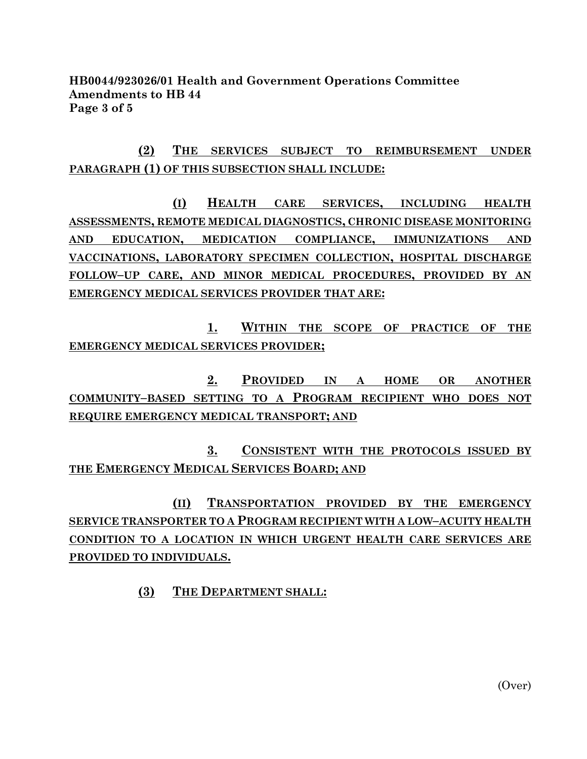### **HB0044/923026/01 Health and Government Operations Committee Amendments to HB 44 Page 3 of 5**

# **(2) THE SERVICES SUBJECT TO REIMBURSEMENT UNDER PARAGRAPH (1) OF THIS SUBSECTION SHALL INCLUDE:**

**(I) HEALTH CARE SERVICES, INCLUDING HEALTH ASSESSMENTS, REMOTE MEDICAL DIAGNOSTICS, CHRONIC DISEASE MONITORING AND EDUCATION, MEDICATION COMPLIANCE, IMMUNIZATIONS AND VACCINATIONS, LABORATORY SPECIMEN COLLECTION, HOSPITAL DISCHARGE FOLLOW–UP CARE, AND MINOR MEDICAL PROCEDURES, PROVIDED BY AN EMERGENCY MEDICAL SERVICES PROVIDER THAT ARE:**

**1. WITHIN THE SCOPE OF PRACTICE OF THE EMERGENCY MEDICAL SERVICES PROVIDER;**

**2. PROVIDED IN A HOME OR ANOTHER COMMUNITY–BASED SETTING TO A PROGRAM RECIPIENT WHO DOES NOT REQUIRE EMERGENCY MEDICAL TRANSPORT; AND** 

**3. CONSISTENT WITH THE PROTOCOLS ISSUED BY THE EMERGENCY MEDICAL SERVICES BOARD; AND**

**(II) TRANSPORTATION PROVIDED BY THE EMERGENCY SERVICE TRANSPORTER TO A PROGRAM RECIPIENT WITH A LOW–ACUITY HEALTH CONDITION TO A LOCATION IN WHICH URGENT HEALTH CARE SERVICES ARE PROVIDED TO INDIVIDUALS.**

**(3) THE DEPARTMENT SHALL:**

(Over)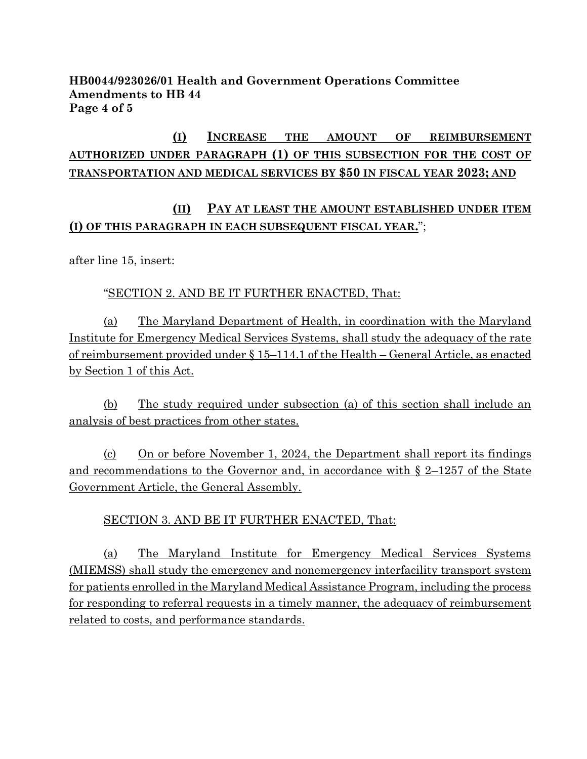### **HB0044/923026/01 Health and Government Operations Committee Amendments to HB 44 Page 4 of 5**

# **(I) INCREASE THE AMOUNT OF REIMBURSEMENT AUTHORIZED UNDER PARAGRAPH (1) OF THIS SUBSECTION FOR THE COST OF TRANSPORTATION AND MEDICAL SERVICES BY \$50 IN FISCAL YEAR 2023; AND**

## **(II) PAY AT LEAST THE AMOUNT ESTABLISHED UNDER ITEM (I) OF THIS PARAGRAPH IN EACH SUBSEQUENT FISCAL YEAR.**";

after line 15, insert:

### "SECTION 2. AND BE IT FURTHER ENACTED, That:

(a) The Maryland Department of Health, in coordination with the Maryland Institute for Emergency Medical Services Systems, shall study the adequacy of the rate of reimbursement provided under § 15–114.1 of the Health – General Article, as enacted by Section 1 of this Act.

(b) The study required under subsection (a) of this section shall include an analysis of best practices from other states.

(c) On or before November 1, 2024, the Department shall report its findings and recommendations to the Governor and, in accordance with § 2–1257 of the State Government Article, the General Assembly.

### SECTION 3. AND BE IT FURTHER ENACTED, That:

(a) The Maryland Institute for Emergency Medical Services Systems (MIEMSS) shall study the emergency and nonemergency interfacility transport system for patients enrolled in the Maryland Medical Assistance Program, including the process for responding to referral requests in a timely manner, the adequacy of reimbursement related to costs, and performance standards.